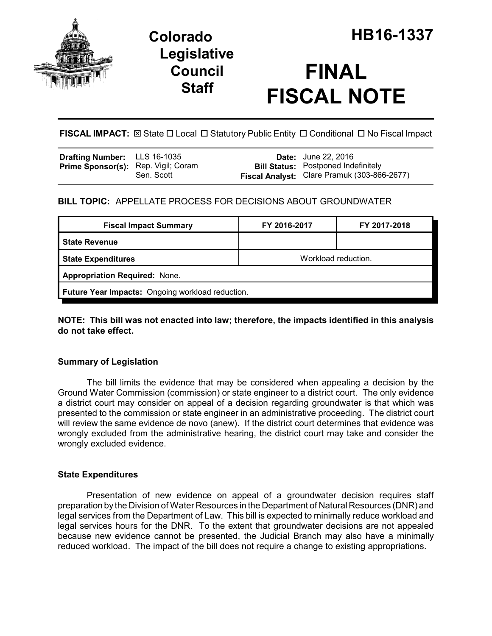

# **Legislative Council Staff**

# **FINAL FISCAL NOTE**

**FISCAL IMPACT:**  $\boxtimes$  State  $\Box$  Local  $\Box$  Statutory Public Entity  $\Box$  Conditional  $\Box$  No Fiscal Impact

| <b>Drafting Number:</b> LLS 16-1035        |            | <b>Date:</b> June 22, 2016                                                                |
|--------------------------------------------|------------|-------------------------------------------------------------------------------------------|
| <b>Prime Sponsor(s):</b> Rep. Vigil; Coram | Sen. Scott | <b>Bill Status:</b> Postponed Indefinitely<br>Fiscal Analyst: Clare Pramuk (303-866-2677) |

# **BILL TOPIC:** APPELLATE PROCESS FOR DECISIONS ABOUT GROUNDWATER

| <b>Fiscal Impact Summary</b>                     | FY 2016-2017        | FY 2017-2018 |  |  |  |
|--------------------------------------------------|---------------------|--------------|--|--|--|
| <b>State Revenue</b>                             |                     |              |  |  |  |
| <b>State Expenditures</b>                        | Workload reduction. |              |  |  |  |
| <b>Appropriation Required: None.</b>             |                     |              |  |  |  |
| Future Year Impacts: Ongoing workload reduction. |                     |              |  |  |  |

**NOTE: This bill was not enacted into law; therefore, the impacts identified in this analysis do not take effect.**

## **Summary of Legislation**

The bill limits the evidence that may be considered when appealing a decision by the Ground Water Commission (commission) or state engineer to a district court. The only evidence a district court may consider on appeal of a decision regarding groundwater is that which was presented to the commission or state engineer in an administrative proceeding. The district court will review the same evidence de novo (anew). If the district court determines that evidence was wrongly excluded from the administrative hearing, the district court may take and consider the wrongly excluded evidence.

### **State Expenditures**

Presentation of new evidence on appeal of a groundwater decision requires staff preparation by the Division of Water Resources in the Department of Natural Resources (DNR) and legal services from the Department of Law. This bill is expected to minimally reduce workload and legal services hours for the DNR. To the extent that groundwater decisions are not appealed because new evidence cannot be presented, the Judicial Branch may also have a minimally reduced workload. The impact of the bill does not require a change to existing appropriations.